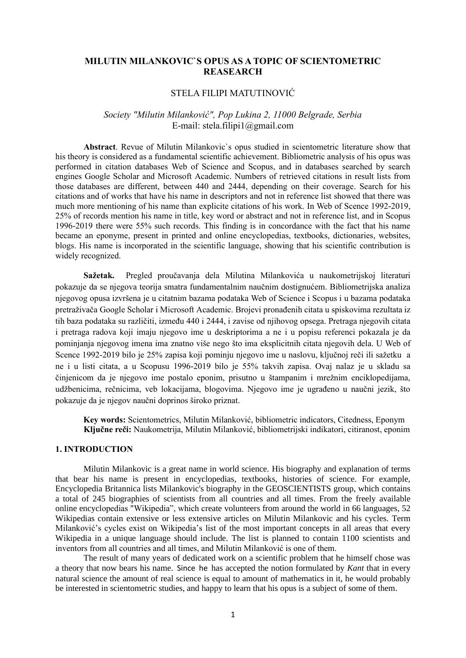# **MILUTIN MILANKOVIC`S OPUS AS A TOPIC OF SCIENTOMETRIC REASEARCH**

## STELA FILIPI MATUTINOVIĆ

# *Society "Milutin Milanković", Pop Lukina 2, 11000 Belgrade, Serbia* E-mail: stela.filipi1@gmail.com

**Abstract**. Revue of Milutin Milankovic`s opus studied in scientometric literature show that his theory is considered as a fundamental scientific achievement. Bibliometric analysis of his opus was performed in citation databases Web of Science and Scopus, and in databases searched by search engines Google Scholar and Microsoft Academic. Numbers of retrieved citations in result lists from those databases are different, between 440 and 2444, depending on their coverage. Search for his citations and of works that have his name in descriptors and not in reference list showed that there was much more mentioning of his name than explicite citations of his work. In Web of Scence 1992-2019, 25% of records mention his name in title, key word or abstract and not in reference list, and in Scopus 1996-2019 there were 55% such records. This finding is in concordance with the fact that his name became an eponyme, present in printed and online encyclopedias, textbooks, dictionaries, websites, blogs. His name is incorporated in the scientific language, showing that his scientific contribution is widely recognized.

**Sažetak.** Pregled proučavanja dela Milutina Milankovića u naukometrijskoj literaturi pokazuje da se njegova teorija smatra fundamentalnim naučnim dostignućem. Bibliometrijska analiza njegovog opusa izvršena je u citatnim bazama podataka Web of Science i Scopus i u bazama podataka pretraživača Google Scholar i Microsoft Academic. Brojevi pronađenih citata u spiskovima rezultata iz tih baza podataka su različiti, između 440 i 2444, i zavise od njihovog opsega. Pretraga njegovih citata i pretraga radova koji imaju njegovo ime u deskriptorima a ne i u popisu referenci pokazala je da pominjanja njegovog imena ima znatno više nego što ima eksplicitnih citata njegovih dela. U Web of Scence 1992-2019 bilo je 25% zapisa koji pominju njegovo ime u naslovu, ključnoj reči ili sažetku a ne i u listi citata, a u Scopusu 1996-2019 bilo je 55% takvih zapisa. Ovaj nalaz je u skladu sa činjenicom da je njegovo ime postalo eponim, prisutno u štampanim i mrežnim enciklopedijama, udžbenicima, rečnicima, veb lokacijama, blogovima. Njegovo ime je ugrađeno u naučni jezik, što pokazuje da je njegov naučni doprinos široko priznat.

 **Key words:** Scientometrics, Milutin Milanković, bibliometric indicators, Citedness, Eponym **Ključne reči:** Naukometrija, Milutin Milanković, bibliometrijski indikatori, citiranost, eponim

### **1. INTRODUCTION**

Milutin Milankovic is a great name in world science. His biography and explanation of terms that bear his name is present in encyclopedias, textbooks, histories of science. For example, Encyclopedia Britannica lists Milankovic's biography in the GEOSCIENTISTS group, which contains a total of 245 biographies of scientists from all countries and all times. From the freely available online encyclopedias "Wikipedia", which create volunteers from around the world in 66 languages, 52 Wikipedias contain extensive or less extensive articles on Milutin Milankovic and his cycles. Term Milanković's cycles exist on Wikipedia's list of the most important concepts in all areas that every Wikipedia in a unique language should include. The list is planned to contain 1100 scientists and inventors from all countries and all times, and Milutin Milanković is one of them.

The result of many years of dedicated work on a scientific problem that he himself chose was a theory that now bears his name. Since he has accepted the notion formulated by *Kant* that in every natural science the amount of real science is equal to amount of mathematics in it, he would probably be interested in scientometric studies, and happy to learn that his opus is a subject of some of them.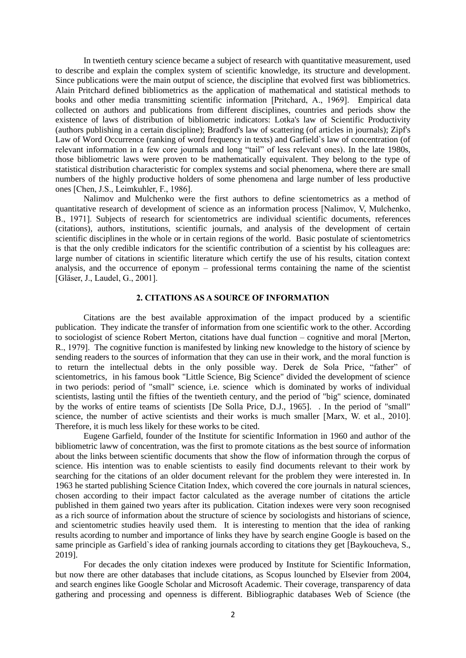In twentieth century science became a subject of research with quantitative measurement, used to describe and explain the complex system of scientific knowledge, its structure and development. Since publications were the main output of science, the discipline that evolved first was bibliometrics. Alain Pritchard defined bibliometrics as the application of mathematical and statistical methods to books and other media transmitting scientific information [Pritchard, A., 1969]. Empirical data collected on authors and publications from different disciplines, countries and periods show the existence of laws of distribution of bibliometric indicators: Lotka's law of Scientific Productivity (authors publishing in a certain discipline); Bradford's law of scattering (of articles in journals); Zipf's Law of Word Occurrence (ranking of word frequency in texts) and Garfield`s law of concentration (of relevant information in a few core journals and long "tail" of less relevant ones). In the late 1980s, those bibliometric laws were proven to be mathematically equivalent. They belong to the type of statistical distribution characteristic for complex systems and social phenomena, where there are small numbers of the highly productive holders of some phenomena and large number of less productive ones [Chen, J.S., Leimkuhler, F., 1986].

Nalimov and Mulchenko were the first authors to define scientometrics as a method of quantitative research of development of science as an information process [Nalimov, V, Mulchenko, B., 1971]. Subjects of research for scientometrics are individual scientific documents, references (citations), authors, institutions, scientific journals, and analysis of the development of certain scientific disciplines in the whole or in certain regions of the world. Basic postulate of scientometrics is that the only credible indicators for the scientific contribution of a scientist by his colleagues are: large number of citations in scientific literature which certify the use of his results, citation context analysis, and the occurrence of eponym – professional terms containing the name of the scientist [Gläser, J., Laudel, G., 2001].

## **2. CITATIONS AS A SOURCE OF INFORMATION**

Citations are the best available approximation of the impact produced by a scientific publication. They indicate the transfer of information from one scientific work to the other. According to sociologist of science Robert Merton, citations have dual function – cognitive and moral [Merton, R., 1979]. The cognitive function is manifested by linking new knowledge to the history of science by sending readers to the sources of information that they can use in their work, and the moral function is to return the intellectual debts in the only possible way. Derek de Sola Price, "father" of scientometrics, in his famous book "Little Science, Big Science" divided the development of science in two periods: period of "small" science, i.e. science which is dominated by works of individual scientists, lasting until the fifties of the twentieth century, and the period of "big" science, dominated by the works of entire teams of scientists [De Solla Price, D.J., 1965]. . In the period of "small" science, the number of active scientists and their works is much smaller [Marx, W. et al., 2010]. Therefore, it is much less likely for these works to be cited.

Eugene Garfield, founder of the Institute for scientific Information in 1960 and author of the bibliometric laww of concentration, was the first to promote citations as the best source of information about the links between scientific documents that show the flow of information through the corpus of science. His intention was to enable scientists to easily find documents relevant to their work by searching for the citations of an older document relevant for the problem they were interested in. In 1963 he started publishing Science Citation Index, which covered the core journals in natural sciences, chosen according to their impact factor calculated as the average number of citations the article published in them gained two years after its publication. Citation indexes were very soon recognised as a rich source of information about the structure of science by sociologists and historians of science, and scientometric studies heavily used them. It is interesting to mention that the idea of ranking results acording to number and importance of links they have by search engine Google is based on the same principle as Garfield`s idea of ranking journals according to citations they get [Baykoucheva, S., 2019].

For decades the only citation indexes were produced by Institute for Scientific Information, but now there are other databases that include citations, as Scopus lounched by Elsevier from 2004, and search engines like Google Scholar and Microsoft Academic. Their coverage, transparency of data gathering and processing and openness is different. Bibliographic databases Web of Science (the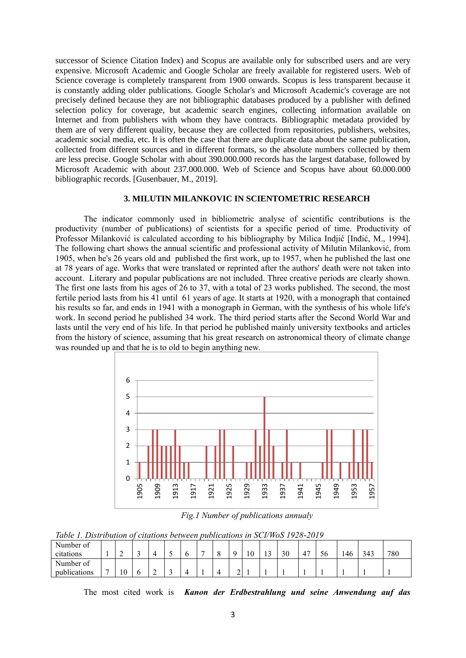successor of Science Citation Index) and Scopus are available only for subscribed users and are very expensive. Microsoft Academic and Google Scholar are freely available for registered users. Web of Science coverage is completely transparent from 1900 onwards. Scopus is less transparent because it is constantly adding older publications. Google Scholar's and Microsoft Academic's coverage are not precisely defined because they are not bibliographic databases produced by a publisher with defined selection policy for coverage, but academic search engines, collecting information available on Internet and from publishers with whom they have contracts. Bibliographic metadata provided by them are of very different quality, because they are collected from repositories, publishers, websites, academic social media, etc. It is often the case that there are duplicate data about the same publication, collected from different sources and in different formats, so the absolute numbers collected by them are less precise. Google Scholar with about 390.000.000 records has the largest database, followed by Microsoft Academic with about 237.000.000. Web of Science and Scopus have about 60.000.000 bibliographic records. [Gusenbauer, M., 2019].

#### **3. MILUTIN MILANKOVIC IN SCIENTOMETRIC RESEARCH**

The indicator commonly used in bibliometric analyse of scientific contributions is the productivity (number of publications) of scientists for a specific period of time. Productivity of Professor Milanković is calculated according to his bibliography by Milica Indjić [Inđić, M., 1994]. The following chart shows the annual scientific and professional activity of Milutin Milanković, from 1905, when he's 26 years old and published the first work, up to 1957, when he published the last one at 78 years of age. Works that were translated or reprinted after the authors' death were not taken into account. Literary and popular publications are not included. Three creative periods are clearly shown. The first one lasts from his ages of 26 to 37, with a total of 23 works published. The second, the most fertile period lasts from his 41 until 61 years of age. It starts at 1920, with a monograph that contained his results so far, and ends in 1941 with a monograph in German, with the synthesis of his whole life's work. In second period he published 34 work. The third period starts after the Second World War and lasts until the very end of his life. In that period he published mainly university textbooks and articles from the history of science, assuming that his great research on astronomical theory of climate change was rounded up and that he is to old to begin anything new.



*Fig.1 Number of publications annualy*

*Table 1. Distribution of citations between publications in SCI/WoS 1928-2019*

| Number of<br>citations    |   | $\sim$<br>- | ╭<br>ٮ  | ▃ | $\circ$ | - |   | $\Omega$ | 10 | $\overline{\phantom{a}}$ | 30 | $4^{\circ}$ | 56 | 146 | 343 | 780 |
|---------------------------|---|-------------|---------|---|---------|---|---|----------|----|--------------------------|----|-------------|----|-----|-----|-----|
| Number of<br>publications | - | 10          | $\circ$ | - |         |   | ↵ | ∼<br>-   |    |                          |    |             |    |     |     |     |

The most cited work is *Kanon der Erdbestrahlung und seine Anwendung auf das*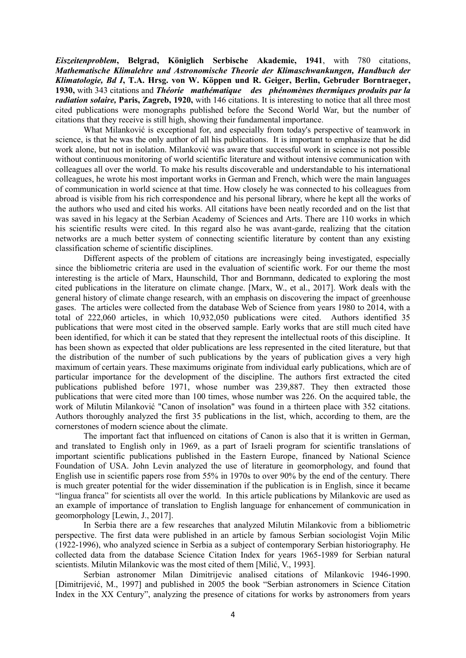*Eiszeitenproblem***, Belgrad, Königlich Serbische Akademie, 1941**, with 780 citations, *Mathematische Klimalehre und Astronomische Theorie der Klimaschwankungen, Handbuch der Klimatologie, Bd I***, T.A. Hrsg. von W. Köppen und R. Geiger, Berlin, Gebruder Borntraeger, 1930,** with 343 citations and *Théorie mathématique des phénomènes thermiques produits par la radiation solaire,* **Paris, Zagreb, 1920,** with 146 citations. It is interesting to notice that all three most cited publications were monographs published before the Second World War, but the number of citations that they receive is still high, showing their fundamental importance.

What Milanković is exceptional for, and especially from today's perspective of teamwork in science, is that he was the only author of all his publications. It is important to emphasize that he did work alone, but not in isolation. Milanković was aware that successful work in science is not possible without continuous monitoring of world scientific literature and without intensive communication with colleagues all over the world. To make his results discoverable and understandable to his international colleagues, he wrote his most important works in German and French, which were the main languages of communication in world science at that time. How closely he was connected to his colleagues from abroad is visible from his rich correspondence and his personal library, where he kept all the works of the authors who used and cited his works. All citations have been neatly recorded and on the list that was saved in his legacy at the Serbian Academy of Sciences and Arts. There are 110 works in which his scientific results were cited. In this regard also he was avant-garde, realizing that the citation networks are a much better system of connecting scientific literature by content than any existing classification scheme of scientific disciplines.

Different aspects of the problem of citations are increasingly being investigated, especially since the bibliometric criteria are used in the evaluation of scientific work. For our theme the most interesting is the article of Marx, Haunschild, Thor and Bornmann, dedicated to exploring the most cited publications in the literature on climate change. [Marx, W., et al., 2017]. Work deals with the general history of climate change research, with an emphasis on discovering the impact of greenhouse gases. The articles were collected from the database Web of Science from years 1980 to 2014, with a total of 222,060 articles, in which 10,932,050 publications were cited. Authors identified 35 publications that were most cited in the observed sample. Early works that are still much cited have been identified, for which it can be stated that they represent the intellectual roots of this discipline. It has been shown as expected that older publications are less represented in the cited literature, but that the distribution of the number of such publications by the years of publication gives a very high maximum of certain years. These maximums originate from individual early publications, which are of particular importance for the development of the discipline. The authors first extracted the cited publications published before 1971, whose number was 239,887. They then extracted those publications that were cited more than 100 times, whose number was 226. On the acquired table, the work of Milutin Milanković "Canon of insolation" was found in a thirteen place with 352 citations. Authors thoroughly analyzed the first 35 publications in the list, which, according to them, are the cornerstones of modern science about the climate.

The important fact that influenced on citations of Canon is also that it is written in German, and translated to English only in 1969, as a part of Israeli program for scientific translations of important scientific publications published in the Eastern Europe, financed by National Science Foundation of USA. John Levin analyzed the use of literature in geomorphology, and found that English use in scientific papers rose from 55% in 1970s to over 90% by the end of the century. There is much greater potential for the wider dissemination if the publication is in English, since it became "lingua franca" for scientists all over the world. In this article publications by Milankovic are used as an example of importance of translation to English language for enhancement of communication in geomorphology [Lewin, J., 2017].

In Serbia there are a few researches that analyzed Milutin Milankovic from a bibliometric perspective. The first data were published in an article by famous Serbian sociologist Vojin Milic (1922-1996), who analyzed science in Serbia as a subject of contemporary Serbian historiography. He collected data from the database Science Citation Index for years 1965-1989 for Serbian natural scientists. Milutin Milankovic was the most cited of them [Milić, V., 1993].

Serbian astronomer Milan Dimitrijevic analised citations of Milankovic 1946-1990. [Dimitrijević, M., 1997] and published in 2005 the book "Serbian astronomers in Science Citation Index in the XX Century", analyzing the presence of citations for works by astronomers from years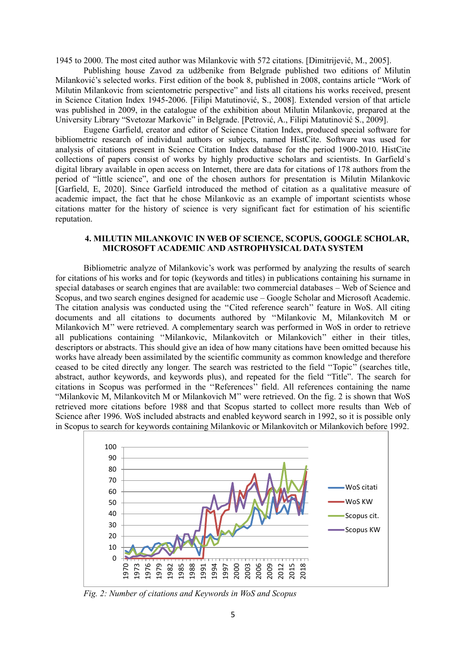1945 to 2000. The most cited author was Milankovic with 572 citations. [Dimitrijević, M., 2005].

Publishing house Zavod za udžbenike from Belgrade published two editions of Milutin Milanković's selected works. First edition of the book 8, published in 2008, contains article "Work of Milutin Milankovic from scientometric perspective" and lists all citations his works received, present in Science Citation Index 1945-2006. [Filipi Matutinović, S., 2008]. Extended version of that article was published in 2009, in the catalogue of the exhibition about Milutin Milankovic, prepared at the University Library "Svetozar Markovic" in Belgrade. [Petrović, A., Filipi Matutinović S., 2009].

Eugene Garfield, creator and editor of Science Citation Index, produced special software for bibliometric research of individual authors or subjects, named HistCite. Software was used for analysis of citations present in Science Citation Index database for the period 1900-2010. HistCite collections of papers consist of works by highly productive scholars and scientists. In Garfield`s digital library available in open access on Internet, there are data for citations of 178 authors from the period of "little science", and one of the chosen authors for presentation is Milutin Milankovic [Garfield, E, 2020]. Since Garfield introduced the method of citation as a qualitative measure of academic impact, the fact that he chose Milankovic as an example of important scientists whose citations matter for the history of science is very significant fact for estimation of his scientific reputation.

#### **4. MILUTIN MILANKOVIC IN WEB OF SCIENCE, SCOPUS, GOOGLE SCHOLAR, MICROSOFT ACADEMIC AND ASTROPHYSICAL DATA SYSTEM**

Bibliometric analyze of Milankovic's work was performed by analyzing the results of search for citations of his works and for topic (keywords and titles) in publications containing his surname in special databases or search engines that are available: two commercial databases – Web of Science and Scopus, and two search engines designed for academic use – Google Scholar and Microsoft Academic. The citation analysis was conducted using the ''Cited reference search'' feature in WoS. All citing documents and all citations to documents authored by ''Milankovic M, Milankovitch M or Milankovich M'' were retrieved. A complementary search was performed in WoS in order to retrieve all publications containing ''Milankovic, Milankovitch or Milankovich'' either in their titles, descriptors or abstracts. This should give an idea of how many citations have been omitted because his works have already been assimilated by the scientific community as common knowledge and therefore ceased to be cited directly any longer. The search was restricted to the field ''Topic'' (searches title, abstract, author keywords, and keywords plus), and repeated for the field "Title". The search for citations in Scopus was performed in the ''References'' field. All references containing the name "Milankovic M, Milankovitch M or Milankovich M'' were retrieved. On the fig. 2 is shown that WoS retrieved more citations before 1988 and that Scopus started to collect more results than Web of Science after 1996. WoS included abstracts and enabled keyword search in 1992, so it is possible only in Scopus to search for keywords containing Milankovic or Milankovitch or Milankovich before 1992.



*Fig. 2: Number of citations and Keywords in WoS and Scopus*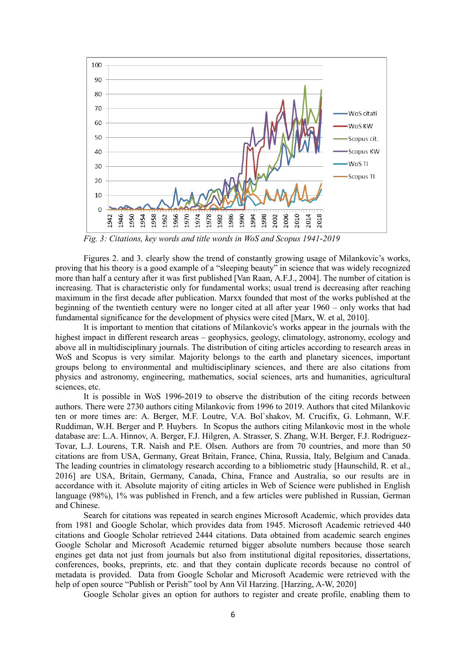

*Fig. 3: Citations, key words and title words in WoS and Scopus 1941-2019*

Figures 2. and 3. clearly show the trend of constantly growing usage of Milankovic's works, proving that his theory is a good example of a "sleeping beauty" in science that was widely recognized more than half a century after it was first published [Van Raan, A.F.J., 2004]. The number of citation is increasing. That is characteristic only for fundamental works; usual trend is decreasing after reaching maximum in the first decade after publication. Marxx founded that most of the works published at the beginning of the twentieth century were no longer cited at all after year 1960 – only works that had fundamental significance for the development of physics were cited [Marx, W. et al, 2010].

It is important to mention that citations of Milankovic's works appear in the journals with the highest impact in different research areas – geophysics, geology, climatology, astronomy, ecology and above all in multidisciplinary journals. The distribution of citing articles according to research areas in WoS and Scopus is very similar. Majority belongs to the earth and planetary sicences, important groups belong to environmental and multidisciplinary sciences, and there are also citations from physics and astronomy, engineering, mathematics, social sciences, arts and humanities, agricultural sciences, etc.

It is possible in WoS 1996-2019 to observe the distribution of the citing records between authors. There were 2730 authors citing Milankovic from 1996 to 2019. Authors that cited Milankovic ten or more times are: A. Berger, M.F. Loutre, V.A. Bol`shakov, M. Crucifix, G. Lohmann, W.F. Ruddiman, W.H. Berger and P. Huybers. In Scopus the authors citing Milankovic most in the whole database are: L.A. Hinnov, A. Berger, F.J. Hilgren, A. Strasser, S. Zhang, W.H. Berger, F.J. Rodriguez-Tovar, L.J. Lourens, T.R. Naish and P.E. Olsen. Authors are from 70 countries, and more than 50 citations are from USA, Germany, Great Britain, France, China, Russia, Italy, Belgium and Canada. The leading countries in climatology research according to a bibliometric study [Haunschild, R. et al., 2016] are USA, Britain, Germany, Canada, China, France and Australia, so our results are in accordance with it. Absolute majority of citing articles in Web of Science were published in English language (98%), 1% was published in French, and a few articles were published in Russian, German and Chinese.

Search for citations was repeated in search engines Microsoft Academic, which provides data from 1981 and Google Scholar, which provides data from 1945. Microsoft Academic retrieved 440 citations and Google Scholar retrieved 2444 citations. Data obtained from academic search engines Google Scholar and Microsoft Academic returned bigger absolute numbers because those search engines get data not just from journals but also from institutional digital repositories, dissertations, conferences, books, preprints, etc. and that they contain duplicate records because no control of metadata is provided. Data from Google Scholar and Microsoft Academic were retrieved with the help of open source "Publish or Perish" tool by Ann Vil Harzing. [Harzing, A-W, 2020]

Google Scholar gives an option for authors to register and create profile, enabling them to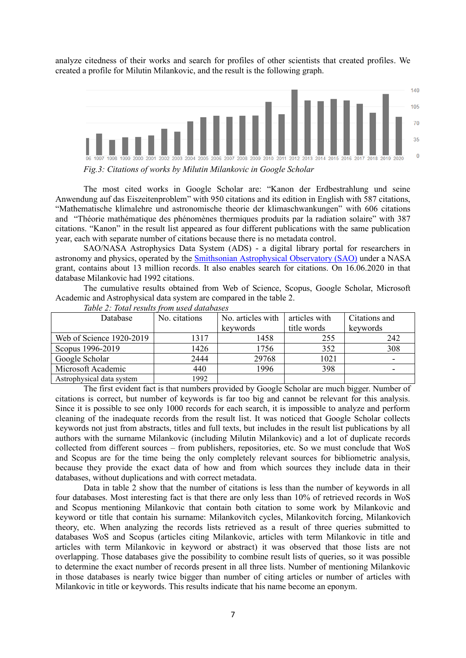analyze citedness of their works and search for profiles of other scientists that created profiles. We created a profile for Milutin Milankovic, and the result is the following graph.



*Fig.3: Citations of works by Milutin Milankovic in Google Scholar*

The most cited works in Google Scholar are: "Kanon der Erdbestrahlung und seine Anwendung auf das Eiszeitenproblem" with 950 citations and its edition in English with 587 citations, "Mathematische klimalehre und astronomische theorie der klimaschwankungen" with 606 citations and "Théorie mathématique des phénomènes thermiques produits par la radiation solaire" with 387 citations. "Kanon" in the result list appeared as four different publications with the same publication year, each with separate number of citations because there is no metadata control.

SAO/NASA Astrophysics Data System (ADS) - a digital library portal for researchers in astronomy and physics, operated by the [Smithsonian Astrophysical Observatory \(SAO\)](https://www.cfa.harvard.edu/sao) under a NASA grant, contains about 13 million records. It also enables search for citations. On 16.06.2020 in that database Milankovic had 1992 citations.

The cumulative results obtained from Web of Science, Scopus, Google Scholar, Microsoft Academic and Astrophysical data system are compared in the table 2.

| <b>Database</b>           | No. citations | No. articles with | articles with | Citations and            |  |
|---------------------------|---------------|-------------------|---------------|--------------------------|--|
|                           |               | keywords          | title words   | keywords                 |  |
| Web of Science 1920-2019  | 1317          | 1458              | 255           | 242                      |  |
| Scopus 1996-2019          | 1426          | 1756              | 352           | 308                      |  |
| Google Scholar            | 2444          | 29768             | 1021          | $\overline{\phantom{0}}$ |  |
| Microsoft Academic        | 440           | 1996              | 398           |                          |  |
| Astrophysical data system | 1992          |                   |               |                          |  |

*Table 2: Total results from used databases*

The first evident fact is that numbers provided by Google Scholar are much bigger. Number of citations is correct, but number of keywords is far too big and cannot be relevant for this analysis. Since it is possible to see only 1000 records for each search, it is impossible to analyze and perform cleaning of the inadequate records from the result list. It was noticed that Google Scholar collects keywords not just from abstracts, titles and full texts, but includes in the result list publications by all authors with the surname Milankovic (including Milutin Milankovic) and a lot of duplicate records collected from different sources – from publishers, repositories, etc. So we must conclude that WoS and Scopus are for the time being the only completely relevant sources for bibliometric analysis, because they provide the exact data of how and from which sources they include data in their databases, without duplications and with correct metadata.

Data in table 2 show that the number of citations is less than the number of keywords in all four databases. Most interesting fact is that there are only less than 10% of retrieved records in WoS and Scopus mentioning Milankovic that contain both citation to some work by Milankovic and keyword or title that contain his surname: Milankovitch cycles, Milankovitch forcing, Milankovich theory, etc. When analyzing the records lists retrieved as a result of three queries submitted to databases WoS and Scopus (articles citing Milankovic, articles with term Milankovic in title and articles with term Milankovic in keyword or abstract) it was observed that those lists are not overlapping. Those databases give the possibility to combine result lists of queries, so it was possible to determine the exact number of records present in all three lists. Number of mentioning Milankovic in those databases is nearly twice bigger than number of citing articles or number of articles with Milankovic in title or keywords. This results indicate that his name become an eponym.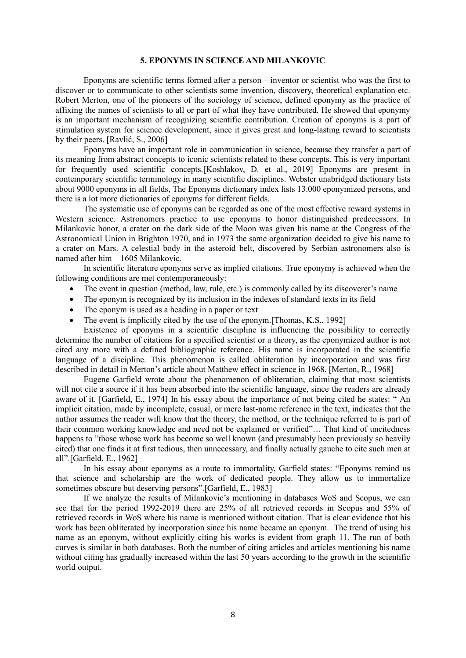#### **5. EPONYMS IN SCIENCE AND MILANKOVIC**

Eponyms are scientific terms formed after a person – inventor or scientist who was the first to discover or to communicate to other scientists some invention, discovery, theoretical explanation etc. Robert Merton, one of the pioneers of the sociology of science, defined eponymy as the practice of affixing the names of scientists to all or part of what they have contributed. He showed that eponymy is an important mechanism of recognizing scientific contribution. Creation of eponyms is a part of stimulation system for science development, since it gives great and long-lasting reward to scientists by their peers. [Ravlić, S., 2006]

Eponyms have an important role in communication in science, because they transfer a part of its meaning from abstract concepts to iconic scientists related to these concepts. This is very important for frequently used scientific concepts.[Koshlakov, D. et al., 2019] Eponyms are present in contemporary scientific terminology in many scientific disciplines. Webster unabridged dictionary lists about 9000 eponyms in all fields, The Eponyms dictionary index lists 13.000 eponymized persons, and there is a lot more dictionaries of eponyms for different fields.

The systematic use of eponyms can be regarded as one of the most effective reward systems in Western science. Astronomers practice to use eponyms to honor distinguished predecessors. In Milankovic honor, a crater on the dark side of the Moon was given his name at the Congress of the Astronomical Union in Brighton 1970, and in 1973 the same organization decided to give his name to a crater on Mars. A celestial body in the asteroid belt, discovered by Serbian astronomers also is named after him – 1605 Milankovic.

In scientific literature eponyms serve as implied citations. True eponymy is achieved when the following conditions are met contemporaneously:

- The event in question (method, law, rule, etc.) is commonly called by its discoverer's name
- The eponym is recognized by its inclusion in the indexes of standard texts in its field
- The eponym is used as a heading in a paper or text
- The event is implicitly cited by the use of the eponym. [Thomas, K.S., 1992]

Existence of eponyms in a scientific discipline is influencing the possibility to correctly determine the number of citations for a specified scientist or a theory, as the eponymized author is not cited any more with a defined bibliographic reference. His name is incorporated in the scientific language of a discipline. This phenomenon is called obliteration by incorporation and was first described in detail in Merton's article about Matthew effect in science in 1968. [Merton, R., 1968]

Eugene Garfield wrote about the phenomenon of obliteration, claiming that most scientists will not cite a source if it has been absorbed into the scientific language, since the readers are already aware of it. [Garfield, E., 1974] In his essay about the importance of not being cited he states: " An implicit citation, made by incomplete, casual, or mere last-name reference in the text, indicates that the author assumes the reader will know that the theory, the method, or the technique referred to is part of their common working knowledge and need not be explained or verified"… That kind of uncitedness happens to "those whose work has become so well known (and presumably been previously so heavily cited) that one finds it at first tedious, then unnecessary, and finally actually gauche to cite such men at all".[Garfield, E., 1962]

In his essay about eponyms as a route to immortality, Garfield states: "Eponyms remind us that science and scholarship are the work of dedicated people. They allow us to immortalize sometimes obscure but deserving persons".[Garfield, E., 1983]

If we analyze the results of Milankovic's mentioning in databases WoS and Scopus, we can see that for the period 1992-2019 there are 25% of all retrieved records in Scopus and 55% of retrieved records in WoS where his name is mentioned without citation. That is clear evidence that his work has been obliterated by incorporation since his name became an eponym. The trend of using his name as an eponym, without explicitly citing his works is evident from graph 11. The run of both curves is similar in both databases. Both the number of citing articles and articles mentioning his name without citing has gradually increased within the last 50 years according to the growth in the scientific world output.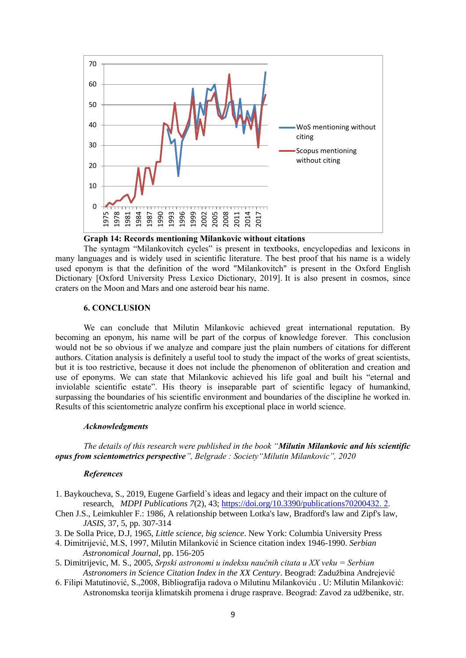

### **Graph 14: Records mentioning Milankovic without citations**

The syntagm "Milankovitch cycles" is present in textbooks, encyclopedias and lexicons in many languages and is widely used in scientific literature. The best proof that his name is a widely used eponym is that the definition of the word "Milankovitch" is present in the Oxford English Dictionary [Oxford University Press Lexico Dictionary, 2019]. It is also present in cosmos, since craters on the Moon and Mars and one asteroid bear his name.

### **6. CONCLUSION**

We can conclude that Milutin Milankovic achieved great international reputation. By becoming an eponym, his name will be part of the corpus of knowledge forever. This conclusion would not be so obvious if we analyze and compare just the plain numbers of citations for different authors. Citation analysis is definitely a useful tool to study the impact of the works of great scientists, but it is too restrictive, because it does not include the phenomenon of obliteration and creation and use of eponyms. We can state that Milankovic achieved his life goal and built his "eternal and inviolable scientific estate". His theory is inseparable part of scientific legacy of humankind, surpassing the boundaries of his scientific environment and boundaries of the discipline he worked in. Results of this scientometric analyze confirm his exceptional place in world science.

#### *Acknowledgments*

*The details of this research were published in the book "Milutin Milankovic and his scientific opus from scientometrics perspective", Belgrade : Society"Milutin Milankovic", 2020*

#### *References*

- 1. Baykoucheva, S., 2019, Eugene Garfield`s ideas and legacy and their impact on the culture of research, *MDPI Publications 7*(2), 43; [https://doi.org/10.3390/publications70200432. 2.](https://doi.org/10.3390/publications70200432.%202)
- Chen J.S., Leimkuhler F.: 1986, A relationship between Lotka's law, Bradford's law and Zipf's law, *JASIS*, 37, 5, pp. 307-314
- 3. De Solla Price, D.J, 1965, *Little science, big science*. New York: Columbia University Press
- 4. Dimitrijević, M.S, 1997, Milutin Milanković in Science citation index 1946-1990. *Serbian Astronomical Journal*, pp. 156-205
- 5. Dimitrijevic, M. S., 2005, *Srpski astronomi u indeksu naučnih citata u XX veku = Serbian Astronomers in Science Citation Index in the XX Century*. Beograd: Zadužbina Andrejević
- 6. Filipi Matutinović, S.,2008, Bibliografija radova o Milutinu Milankoviću . U: Milutin Milanković: Astronomska teorija klimatskih promena i druge rasprave. Beograd: Zavod za udžbenike, str.